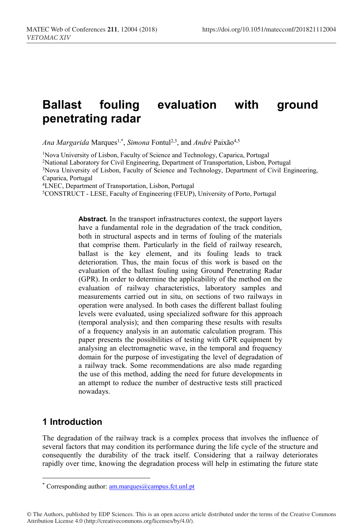# **Ballast fouling evaluation with ground penetrating radar**

*Ana Margarida* Marques<sup>1,\*</sup>, *Simona* Fontul<sup>2,3</sup>, and *André* Paixão<sup>4,5</sup>

<sup>1</sup>Nova University of Lisbon, Faculty of Science and Technology, Caparica, Portugal 2National Laboratory for Civil Engineering, Department of Transportation, Lisbon, Portugal <sup>3</sup>Nova University of Lisbon, Faculty of Science and Technology, Department of Civil Engineering, Caparica, Portugal

4LNEC, Department of Transportation, Lisbon, Portugal

5CONSTRUCT - LESE, Faculty of Engineering (FEUP), University of Porto, Portugal

**Abstract.** In the transport infrastructures context, the support layers have a fundamental role in the degradation of the track condition, both in structural aspects and in terms of fouling of the materials that comprise them. Particularly in the field of railway research, ballast is the key element, and its fouling leads to track deterioration. Thus, the main focus of this work is based on the evaluation of the ballast fouling using Ground Penetrating Radar (GPR). In order to determine the applicability of the method on the evaluation of railway characteristics, laboratory samples and measurements carried out in situ, on sections of two railways in operation were analysed. In both cases the different ballast fouling levels were evaluated, using specialized software for this approach (temporal analysis); and then comparing these results with results of a frequency analysis in an automatic calculation program. This paper presents the possibilities of testing with GPR equipment by analysing an electromagnetic wave, in the temporal and frequency domain for the purpose of investigating the level of degradation of a railway track. Some recommendations are also made regarding the use of this method, adding the need for future developments in an attempt to reduce the number of destructive tests still practiced nowadays.

## **1 Introduction**

 $\overline{a}$ 

The degradation of the railway track is a complex process that involves the influence of several factors that may condition its performance during the life cycle of the structure and consequently the durability of the track itself. Considering that a railway deteriorates rapidly over time, knowing the degradation process will help in estimating the future state

© The Authors, published by EDP Sciences. This is an open access article distributed under the terms of the Creative Commons Attribution License 4.0 (http://creativecommons.org/licenses/by/4.0/).

<sup>\*</sup> Corresponding author: am.marques@campus.fct.unl.pt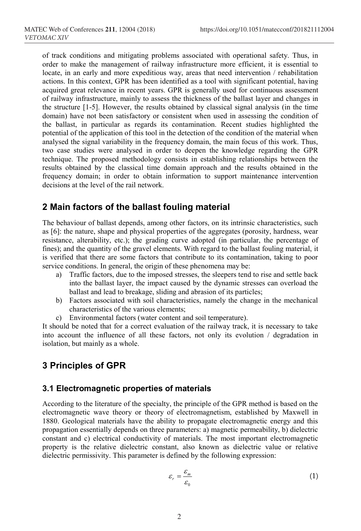of track conditions and mitigating problems associated with operational safety. Thus, in order to make the management of railway infrastructure more efficient, it is essential to locate, in an early and more expeditious way, areas that need intervention / rehabilitation actions. In this context, GPR has been identified as a tool with significant potential, having acquired great relevance in recent years. GPR is generally used for continuous assessment of railway infrastructure, mainly to assess the thickness of the ballast layer and changes in the structure [1-5]. However, the results obtained by classical signal analysis (in the time domain) have not been satisfactory or consistent when used in assessing the condition of the ballast, in particular as regards its contamination. Recent studies highlighted the potential of the application of this tool in the detection of the condition of the material when analysed the signal variability in the frequency domain, the main focus of this work. Thus, two case studies were analysed in order to deepen the knowledge regarding the GPR technique. The proposed methodology consists in establishing relationships between the results obtained by the classical time domain approach and the results obtained in the frequency domain; in order to obtain information to support maintenance intervention decisions at the level of the rail network.

# **2 Main factors of the ballast fouling material**

The behaviour of ballast depends, among other factors, on its intrinsic characteristics, such as [6]: the nature, shape and physical properties of the aggregates (porosity, hardness, wear resistance, alterability, etc.); the grading curve adopted (in particular, the percentage of fines); and the quantity of the gravel elements. With regard to the ballast fouling material, it is verified that there are some factors that contribute to its contamination, taking to poor service conditions. In general, the origin of these phenomena may be:

- a) Traffic factors, due to the imposed stresses, the sleepers tend to rise and settle back into the ballast layer, the impact caused by the dynamic stresses can overload the ballast and lead to breakage, sliding and abrasion of its particles;
- b) Factors associated with soil characteristics, namely the change in the mechanical characteristics of the various elements;
- c) Environmental factors (water content and soil temperature).

It should be noted that for a correct evaluation of the railway track, it is necessary to take into account the influence of all these factors, not only its evolution / degradation in isolation, but mainly as a whole.

## **3 Principles of GPR**

#### **3.1 Electromagnetic properties of materials**

According to the literature of the specialty, the principle of the GPR method is based on the electromagnetic wave theory or theory of electromagnetism, established by Maxwell in 1880. Geological materials have the ability to propagate electromagnetic energy and this propagation essentially depends on three parameters: a) magnetic permeability, b) dielectric constant and c) electrical conductivity of materials. The most important electromagnetic property is the relative dielectric constant, also known as dielectric value or relative dielectric permissivity. This parameter is defined by the following expression:

$$
\varepsilon_r = \frac{\varepsilon_m}{\varepsilon_0} \tag{1}
$$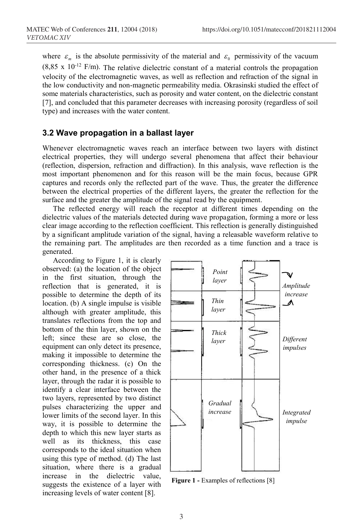where  $\varepsilon_m$  is the absolute permissivity of the material and  $\varepsilon_0$  permissivity of the vacuum  $(8,85 \times 10^{-12} \text{ F/m})$ . The relative dielectric constant of a material controls the propagation velocity of the electromagnetic waves, as well as reflection and refraction of the signal in the low conductivity and non-magnetic permeability media. Okrasinski studied the effect of some materials characteristics, such as porosity and water content, on the dielectric constant [7], and concluded that this parameter decreases with increasing porosity (regardless of soil type) and increases with the water content.

#### **3.2 Wave propagation in a ballast layer**

Whenever electromagnetic waves reach an interface between two layers with distinct electrical properties, they will undergo several phenomena that affect their behaviour (reflection, dispersion, refraction and diffraction). In this analysis, wave reflection is the most important phenomenon and for this reason will be the main focus, because GPR captures and records only the reflected part of the wave. Thus, the greater the difference between the electrical properties of the different layers, the greater the reflection for the surface and the greater the amplitude of the signal read by the equipment.

The reflected energy will reach the receptor at different times depending on the dielectric values of the materials detected during wave propagation, forming a more or less clear image according to the reflection coefficient. This reflection is generally distinguished by a significant amplitude variation of the signal, having a releasable waveform relative to the remaining part. The amplitudes are then recorded as a time function and a trace is generated.

According to Figure 1, it is clearly observed: (a) the location of the object in the first situation, through the reflection that is generated, it is possible to determine the depth of its location. (b) A single impulse is visible although with greater amplitude, this translates reflections from the top and bottom of the thin layer, shown on the left; since these are so close, the equipment can only detect its presence, making it impossible to determine the corresponding thickness. (c) On the other hand, in the presence of a thick layer, through the radar it is possible to identify a clear interface between the two layers, represented by two distinct pulses characterizing the upper and lower limits of the second layer. In this way, it is possible to determine the depth to which this new layer starts as well as its thickness, this case corresponds to the ideal situation when using this type of method. (d) The last situation, where there is a gradual increase in the dielectric value, suggests the existence of a layer with increasing levels of water content [8].



**Figure 1 -** Examples of reflections [8]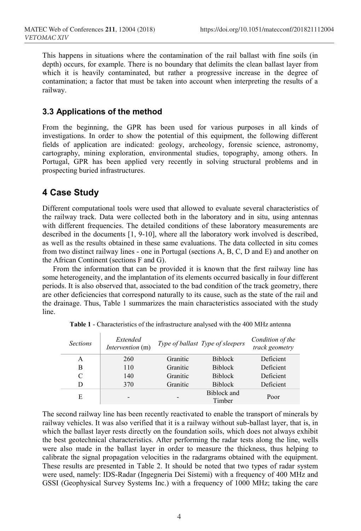This happens in situations where the contamination of the rail ballast with fine soils (in depth) occurs, for example. There is no boundary that delimits the clean ballast layer from which it is heavily contaminated, but rather a progressive increase in the degree of contamination; a factor that must be taken into account when interpreting the results of a railway.

#### **3.3 Applications of the method**

From the beginning, the GPR has been used for various purposes in all kinds of investigations. In order to show the potential of this equipment, the following different fields of application are indicated: geology, archeology, forensic science, astronomy, cartography, mining exploration, environmental studies, topography, among others. In Portugal, GPR has been applied very recently in solving structural problems and in prospecting buried infrastructures.

# **4 Case Study**

Different computational tools were used that allowed to evaluate several characteristics of the railway track. Data were collected both in the laboratory and in situ, using antennas with different frequencies. The detailed conditions of these laboratory measurements are described in the documents [1, 9-10], where all the laboratory work involved is described, as well as the results obtained in these same evaluations. The data collected in situ comes from two distinct railway lines - one in Portugal (sections A, B, C, D and E) and another on the African Continent (sections F and G).

From the information that can be provided it is known that the first railway line has some heterogeneity, and the implantation of its elements occurred basically in four different periods. It is also observed that, associated to the bad condition of the track geometry, there are other deficiencies that correspond naturally to its cause, such as the state of the rail and the drainage. Thus, Table 1 summarizes the main characteristics associated with the study line.

| <b>Sections</b> | Extended<br>Intervention (m) |          | Type of ballast Type of sleepers | Condition of the<br>track geometry |
|-----------------|------------------------------|----------|----------------------------------|------------------------------------|
| A               | 260                          | Granitic | <b>Biblock</b>                   | Deficient                          |
| В               | 110                          | Granitic | <b>Biblock</b>                   | Deficient                          |
| C               | 140                          | Granitic | <b>Biblock</b>                   | Deficient                          |
| D               | 370                          | Granitic | <b>Biblock</b>                   | Deficient                          |
| E               | $\overline{\phantom{0}}$     |          | Biblock and<br>Timber            | Poor                               |

**Table 1** - Characteristics of the infrastructure analysed with the 400 MHz antenna

The second railway line has been recently reactivated to enable the transport of minerals by railway vehicles. It was also verified that it is a railway without sub-ballast layer, that is, in which the ballast layer rests directly on the foundation soils, which does not always exhibit the best geotechnical characteristics. After performing the radar tests along the line, wells were also made in the ballast layer in order to measure the thickness, thus helping to calibrate the signal propagation velocities in the radargrams obtained with the equipment. These results are presented in Table 2. It should be noted that two types of radar system were used, namely: IDS-Radar (Ingegneria Dei Sistemi) with a frequency of 400 MHz and GSSI (Geophysical Survey Systems Inc.) with a frequency of 1000 MHz; taking the care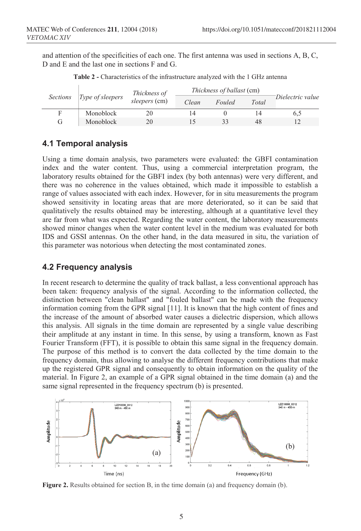and attention of the specificities of each one. The first antenna was used in sections A, B, C, D and E and the last one in sections F and G.

| <b>Sections</b> | $\vert Type\ of\ sleepers$ | Thickness of<br>sleepers (cm) | <i>Thickness of ballast</i> (cm) |        |       |                  |
|-----------------|----------------------------|-------------------------------|----------------------------------|--------|-------|------------------|
|                 |                            |                               | Clean                            | Fouled | Total | Dielectric value |
| F               | Monoblock                  | 20                            | 14                               |        |       | 0.5              |
| G               | Monoblock                  | 20                            |                                  |        | 48    |                  |

**Table 2 -** Characteristics of the infrastructure analyzed with the 1 GHz antenna

# **4.1 Temporal analysis**

Using a time domain analysis, two parameters were evaluated: the GBFI contamination index and the water content. Thus, using a commercial interpretation program, the laboratory results obtained for the GBFI index (by both antennas) were very different, and there was no coherence in the values obtained, which made it impossible to establish a range of values associated with each index. However, for in situ measurements the program showed sensitivity in locating areas that are more deteriorated, so it can be said that qualitatively the results obtained may be interesting, although at a quantitative level they are far from what was expected. Regarding the water content, the laboratory measurements showed minor changes when the water content level in the medium was evaluated for both IDS and GSSI antennas. On the other hand, in the data measured in situ, the variation of this parameter was notorious when detecting the most contaminated zones.

#### **4.2 Frequency analysis**

In recent research to determine the quality of track ballast, a less conventional approach has been taken: frequency analysis of the signal. According to the information collected, the distinction between "clean ballast" and "fouled ballast" can be made with the frequency information coming from the GPR signal [11]. It is known that the high content of fines and the increase of the amount of absorbed water causes a dielectric dispersion, which allows this analysis. All signals in the time domain are represented by a single value describing their amplitude at any instant in time. In this sense, by using a transform, known as Fast Fourier Transform (FFT), it is possible to obtain this same signal in the frequency domain. The purpose of this method is to convert the data collected by the time domain to the frequency domain, thus allowing to analyse the different frequency contributions that make up the registered GPR signal and consequently to obtain information on the quality of the material. In Figure 2, an example of a GPR signal obtained in the time domain (a) and the same signal represented in the frequency spectrum (b) is presented.



**Figure 2.** Results obtained for section B, in the time domain (a) and frequency domain (b).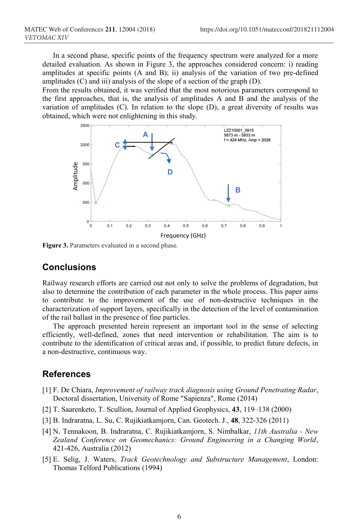In a second phase, specific points of the frequency spectrum were analyzed for a more detailed evaluation. As shown in Figure 3, the approaches considered concern: i) reading amplitudes at specific points (A and B); ii) analysis of the variation of two pre-defined amplitudes (C) and iii) analysis of the slope of a section of the graph (D).

From the results obtained, it was verified that the most notorious parameters correspond to the first approaches, that is, the analysis of amplitudes A and B and the analysis of the variation of amplitudes (C). In relation to the slope (D), a great diversity of results was obtained, which were not enlightening in this study.



**Figure 3.** Parameters evaluated in a second phase.

## **Conclusions**

Railway research efforts are carried out not only to solve the problems of degradation, but also to determine the contribution of each parameter in the whole process. This paper aims to contribute to the improvement of the use of non-destructive techniques in the characterization of support layers, specifically in the detection of the level of contamination of the rail ballast in the presence of fine particles.

The approach presented herein represent an important tool in the sense of selecting efficiently, well-defined, zones that need intervention or rehabilitation. The aim is to contribute to the identification of critical areas and, if possible, to predict future defects, in a non-destructive, continuous way.

#### **References**

- [1] F. De Chiara, *Improvement of railway track diagnosis using Ground Penetrating Radar*, Doctoral dissertation, University of Rome "Sapienza", Rome (2014)
- [2] T. Saarenketo, T. Scullion, Journal of Applied Geophysics, **43**, 119–138 (2000)
- [3] B. Indraratna, L. Su, C. Rujikiatkamjorn, Can. Geotech. J., **48**, 322-326 (2011)
- [4] N. Tennakoon, B. Indraratna, C. Rujikiatkamjorn, S. Nimbalkar, *11th Australia - New Zealand Conference on Geomechanics: Ground Engineering in a Changing World*, 421-426, Australia (2012)
- [5] E. Selig, J. Waters, *Track Geotechnology and Substructure Management*, London: Thomas Telford Publications (1994)